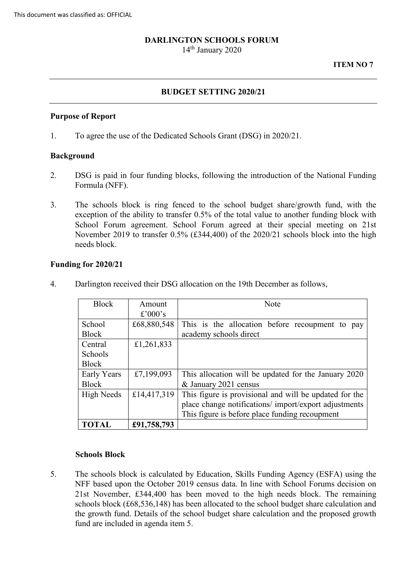### **DARLINGTON SCHOOLS FORUM**

14<sup>th</sup> January 2020

#### **ITEM NO 7**

### **BUDGET SETTING 2020/21**

#### **Purpose of Report**

1. To agree the use of the Dedicated Schools Grant (DSG) in 2020/21.

#### **Background**

- 2. DSG is paid in four funding blocks, following the introduction of the National Funding Formula (NFF).
- 3. The schools block is ring fenced to the school budget share/growth fund, with the exception of the ability to transfer 0.5% of the total value to another funding block with School Forum agreement. School Forum agreed at their special meeting on 21st November 2019 to transfer 0.5% (£344,400) of the 2020/21 schools block into the high needs block.

#### **Funding for 2020/21**

| <b>Block</b>      | Amount      | <b>Note</b>                                            |  |  |
|-------------------|-------------|--------------------------------------------------------|--|--|
|                   | £'000's     |                                                        |  |  |
| School            | £68,880,548 | This is the allocation before recoupment to<br>pay     |  |  |
| <b>Block</b>      |             | academy schools direct                                 |  |  |
| Central           | £1,261,833  |                                                        |  |  |
| Schools           |             |                                                        |  |  |
| <b>Block</b>      |             |                                                        |  |  |
| Early Years       | £7,199,093  | This allocation will be updated for the January 2020   |  |  |
| <b>Block</b>      |             | & January 2021 census                                  |  |  |
| <b>High Needs</b> | £14,417,319 | This figure is provisional and will be updated for the |  |  |
|                   |             | place change notifications/ import/export adjustments  |  |  |
|                   |             | This figure is before place funding recoupment         |  |  |
| <b>TOTAL</b>      | £91,758,793 |                                                        |  |  |

4. Darlington received their DSG allocation on the 19th December as follows,

### **Schools Block**

 5. The schools block is calculated by Education, Skills Funding Agency (ESFA) using the 21st November, £344,400 has been moved to the high needs block. The remaining fund are included in agenda item 5. NFF based upon the October 2019 census data. In line with School Forums decision on schools block (£68,536,148) has been allocated to the school budget share calculation and the growth fund. Details of the school budget share calculation and the proposed growth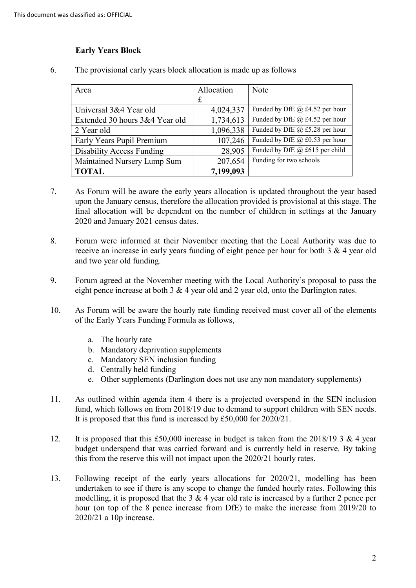## **Early Years Block**

| Area                             | Allocation  | Note                               |
|----------------------------------|-------------|------------------------------------|
|                                  | $\mathbf f$ |                                    |
| Universal 3&4 Year old           | 4,024,337   | Funded by DfE $(a)$ £4.52 per hour |
| Extended 30 hours 3&4 Year old   | 1,734,613   | Funded by DfE @ £4.52 per hour     |
| 2 Year old                       | 1,096,338   | Funded by DfE @ £5.28 per hour     |
| Early Years Pupil Premium        | 107,246     | Funded by DfE @ £0.53 per hour     |
| <b>Disability Access Funding</b> | 28,905      | Funded by DfE @ £615 per child     |
| Maintained Nursery Lump Sum      | 207,654     | Funding for two schools            |
| <b>TOTAL</b>                     | 7,199,093   |                                    |

6. The provisional early years block allocation is made up as follows

- 7. As Forum will be aware the early years allocation is updated throughout the year based upon the January census, therefore the allocation provided is provisional at this stage. The final allocation will be dependent on the number of children in settings at the January 2020 and January 2021 census dates.
- 8. Forum were informed at their November meeting that the Local Authority was due to receive an increase in early years funding of eight pence per hour for both 3 & 4 year old and two year old funding.
- 9. Forum agreed at the November meeting with the Local Authority's proposal to pass the eight pence increase at both 3 & 4 year old and 2 year old, onto the Darlington rates.
- 10. As Forum will be aware the hourly rate funding received must cover all of the elements of the Early Years Funding Formula as follows,
	- a. The hourly rate
	- b. Mandatory deprivation supplements
	- c. Mandatory SEN inclusion funding
	- d. Centrally held funding
	- e. Other supplements (Darlington does not use any non mandatory supplements)
- 11. As outlined within agenda item 4 there is a projected overspend in the SEN inclusion fund, which follows on from 2018/19 due to demand to support children with SEN needs. It is proposed that this fund is increased by £50,000 for 2020/21.
- 12. It is proposed that this £50,000 increase in budget is taken from the 2018/19 3 & 4 year budget underspend that was carried forward and is currently held in reserve. By taking this from the reserve this will not impact upon the 2020/21 hourly rates.
- 13. Following receipt of the early years allocations for 2020/21, modelling has been modelling, it is proposed that the 3 & 4 year old rate is increased by a further 2 pence per hour (on top of the 8 pence increase from DfE) to make the increase from 2019/20 to undertaken to see if there is any scope to change the funded hourly rates. Following this 2020/21 a 10p increase.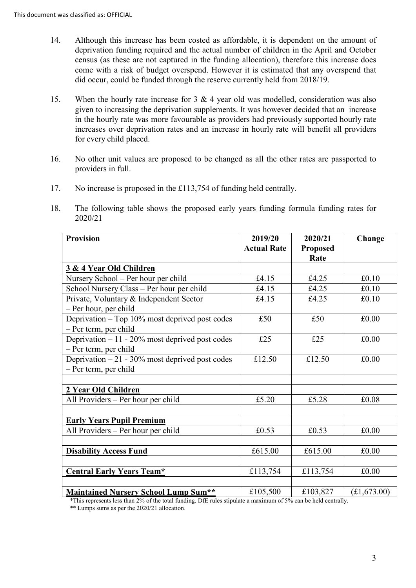- census (as these are not captured in the funding allocation), therefore this increase does 14. Although this increase has been costed as affordable, it is dependent on the amount of deprivation funding required and the actual number of children in the April and October come with a risk of budget overspend. However it is estimated that any overspend that did occur, could be funded through the reserve currently held from 2018/19.
- given to increasing the deprivation supplements. It was however decided that an increase increases over deprivation rates and an increase in hourly rate will benefit all providers 15. When the hourly rate increase for 3 & 4 year old was modelled, consideration was also in the hourly rate was more favourable as providers had previously supported hourly rate for every child placed.
- 16. No other unit values are proposed to be changed as all the other rates are passported to providers in full.
- 17. No increase is proposed in the £113,754 of funding held centrally.
- 18. The following table shows the proposed early years funding formula funding rates for 2020/21

| <b>Provision</b>                                  | 2019/20            | 2020/21         | Change      |
|---------------------------------------------------|--------------------|-----------------|-------------|
|                                                   | <b>Actual Rate</b> | <b>Proposed</b> |             |
|                                                   |                    | Rate            |             |
| 3 & 4 Year Old Children                           |                    |                 |             |
| Nursery School - Per hour per child               | £4.15              | £4.25           | £0.10       |
| School Nursery Class - Per hour per child         | £4.15              | £4.25           | £0.10       |
| Private, Voluntary & Independent Sector           | £4.15              | £4.25           | £0.10       |
| - Per hour, per child                             |                    |                 |             |
| Deprivation – Top 10% most deprived post codes    | £50                | £50             | £0.00       |
| - Per term, per child                             |                    |                 |             |
| Deprivation $-11 - 20\%$ most deprived post codes | £25                | £25             | £0.00       |
| - Per term, per child                             |                    |                 |             |
| Deprivation $-21 - 30\%$ most deprived post codes | £12.50             | £12.50          | £0.00       |
| - Per term, per child                             |                    |                 |             |
|                                                   |                    |                 |             |
| 2 Year Old Children                               |                    |                 |             |
| All Providers - Per hour per child                | £5.20              | £5.28           | £0.08       |
|                                                   |                    |                 |             |
| <b>Early Years Pupil Premium</b>                  |                    |                 |             |
| All Providers - Per hour per child                | £0.53              | £0.53           | £0.00       |
|                                                   |                    |                 |             |
| <b>Disability Access Fund</b>                     | £615.00            | £615.00         | £0.00       |
|                                                   |                    |                 |             |
| <b>Central Early Years Team*</b>                  | £113,754           | £113,754        | £0.00       |
|                                                   |                    |                 |             |
| <b>Maintained Nursery School Lump Sum**</b>       | £105,500           | £103,827        | (E1,673.00) |

\*This represents less than 2% of the total funding. DfE rules stipulate a maximum of 5% can be held centrally.

\*\* Lumps sums as per the 2020/21 allocation.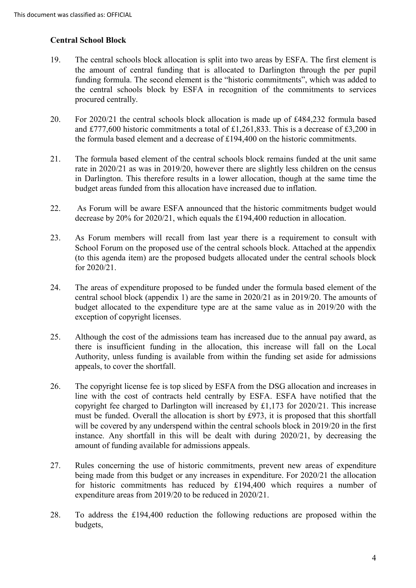### **Central School Block**

- the amount of central funding that is allocated to Darlington through the per pupil the central schools block by ESFA in recognition of the commitments to services 19. The central schools block allocation is split into two areas by ESFA. The first element is funding formula. The second element is the "historic commitments", which was added to procured centrally.
- 20. For 2020/21 the central schools block allocation is made up of £484,232 formula based and £777,600 historic commitments a total of £1,261,833. This is a decrease of £3,200 in the formula based element and a decrease of £194,400 on the historic commitments.
- rate in 2020/21 as was in 2019/20, however there are slightly less children on the census in Darlington. This therefore results in a lower allocation, though at the same time the 21. The formula based element of the central schools block remains funded at the unit same budget areas funded from this allocation have increased due to inflation.
- 22. As Forum will be aware ESFA announced that the historic commitments budget would decrease by 20% for 2020/21, which equals the £194,400 reduction in allocation.
- School Forum on the proposed use of the central schools block. Attached at the appendix 23. As Forum members will recall from last year there is a requirement to consult with (to this agenda item) are the proposed budgets allocated under the central schools block for 2020/21.
- 24. The areas of expenditure proposed to be funded under the formula based element of the central school block (appendix 1) are the same in 2020/21 as in 2019/20. The amounts of budget allocated to the expenditure type are at the same value as in 2019/20 with the exception of copyright licenses.
- 25. Although the cost of the admissions team has increased due to the annual pay award, as there is insufficient funding in the allocation, this increase will fall on the Local Authority, unless funding is available from within the funding set aside for admissions appeals, to cover the shortfall.
- must be funded. Overall the allocation is short by £973, it is proposed that this shortfall will be covered by any underspend within the central schools block in 2019/20 in the first 26. The copyright license fee is top sliced by ESFA from the DSG allocation and increases in line with the cost of contracts held centrally by ESFA. ESFA have notified that the copyright fee charged to Darlington will increased by £1,173 for 2020/21. This increase instance. Any shortfall in this will be dealt with during 2020/21, by decreasing the amount of funding available for admissions appeals.
- 27. Rules concerning the use of historic commitments, prevent new areas of expenditure being made from this budget or any increases in expenditure. For 2020/21 the allocation for historic commitments has reduced by £194,400 which requires a number of expenditure areas from 2019/20 to be reduced in 2020/21.
- 28. To address the £194,400 reduction the following reductions are proposed within the budgets,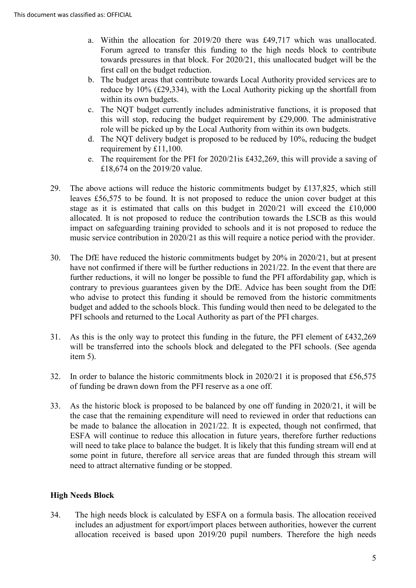- a. Within the allocation for 2019/20 there was £49,717 which was unallocated. towards pressures in that block. For 2020/21, this unallocated budget will be the Forum agreed to transfer this funding to the high needs block to contribute first call on the budget reduction.
- b. The budget areas that contribute towards Local Authority provided services are to reduce by 10% (£29,334), with the Local Authority picking up the shortfall from within its own budgets.
- c. The NQT budget currently includes administrative functions, it is proposed that this will stop, reducing the budget requirement by £29,000. The administrative role will be picked up by the Local Authority from within its own budgets.
- d. The NQT delivery budget is proposed to be reduced by 10%, reducing the budget requirement by £11,100.
- e. The requirement for the PFI for 2020/21is £432,269, this will provide a saving of £18,674 on the 2019/20 value.
- 29. The above actions will reduce the historic commitments budget by £137,825, which still stage as it is estimated that calls on this budget in 2020/21 will exceed the £10,000 allocated. It is not proposed to reduce the contribution towards the LSCB as this would leaves £56,575 to be found. It is not proposed to reduce the union cover budget at this impact on safeguarding training provided to schools and it is not proposed to reduce the music service contribution in 2020/21 as this will require a notice period with the provider.
- have not confirmed if there will be further reductions in 2021/22. In the event that there are contrary to previous guarantees given by the DfE. Advice has been sought from the DfE who advise to protect this funding it should be removed from the historic commitments 30. The DfE have reduced the historic commitments budget by 20% in 2020/21, but at present further reductions, it will no longer be possible to fund the PFI affordability gap, which is budget and added to the schools block. This funding would then need to be delegated to the PFI schools and returned to the Local Authority as part of the PFI charges.
- 31. As this is the only way to protect this funding in the future, the PFI element of £432,269 will be transferred into the schools block and delegated to the PFI schools. (See agenda item 5).
- 32. In order to balance the historic commitments block in 2020/21 it is proposed that £56,575 of funding be drawn down from the PFI reserve as a one off.
- 33. As the historic block is proposed to be balanced by one off funding in 2020/21, it will be will need to take place to balance the budget. It is likely that this funding stream will end at some point in future, therefore all service areas that are funded through this stream will the case that the remaining expenditure will need to reviewed in order that reductions can be made to balance the allocation in 2021/22. It is expected, though not confirmed, that ESFA will continue to reduce this allocation in future years, therefore further reductions need to attract alternative funding or be stopped.

# **High Needs Block**

34. The high needs block is calculated by ESFA on a formula basis. The allocation received includes an adjustment for export/import places between authorities, however the current allocation received is based upon 2019/20 pupil numbers. Therefore the high needs